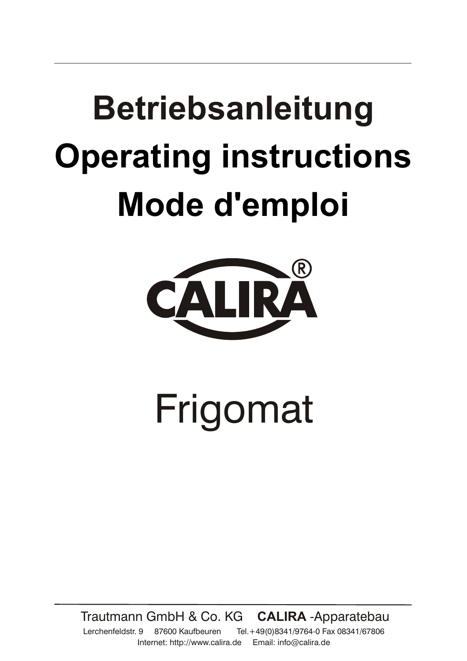# **Betriebsanleitung Operating instructions Mode d'emploi**



# Frigomat

Trautmann GmbH & Co. KG **CALIRA** -Apparatebau

Lerchenfeldstr. 9 87600 Kaufbeuren Tel.+49(0)8341/9764-0 Fax 08341/67806 Internet: http://www.calira.de Email: info@calira.de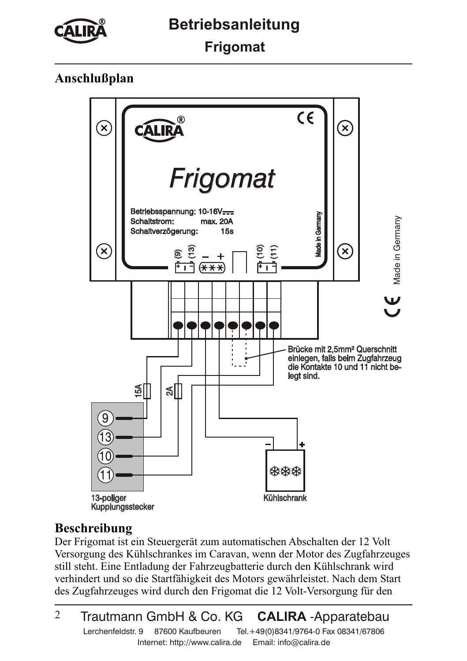

**Frigomat**

# **Anschlußplan**



## **Beschreibung**

Der Frigomat ist ein Steuergerät zum automatischen Abschalten der 12 Volt Versorgung des Kühlschrankes im Caravan, wenn der Motor des Zugfahrzeuges still steht. Eine Entladung der Fahrzeugbatterie durch den Kühlschrank wird verhindert und so die Startfähigkeit des Motors gewährleistet. Nach dem Start des Zugfahrzeuges wird durch den Frigomat die 12 Volt-Versorgung für den

#### $\mathfrak{D}$ Trautmann GmbH & Co. KG **CALIRA** -Apparatebau Lerchenfeldstr. 9 87600 Kaufbeuren Tel.+49(0)8341/9764-0 Fax 08341/67806 Internet: http://www.calira.de Email: info@calira.de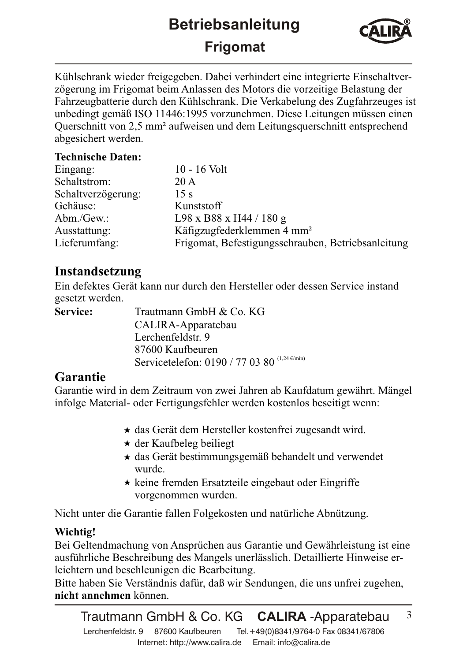# **Betriebsanleitung Frigomat**



Kühlschrank wieder freigegeben. Dabei verhindert eine integrierte Einschaltverzögerung im Frigomat beim Anlassen des Motors die vorzeitige Belastung der Fahrzeugbatterie durch den Kühlschrank. Die Verkabelung des Zugfahrzeuges ist unbedingt gemäß ISO 11446:1995 vorzunehmen. Diese Leitungen müssen einen Querschnitt von 2,5 mm² aufweisen und dem Leitungsquerschnitt entsprechend abgesichert werden.

#### **Technische Daten:**

| Eingang:           | 10 - 16 Volt                                       |
|--------------------|----------------------------------------------------|
| Schaltstrom:       | 20 A                                               |
| Schaltverzögerung: | 15 s                                               |
| Gehäuse:           | Kunststoff                                         |
| Abm./ $Gew$ .:     | L98 x B88 x H44 / 180 g                            |
| Ausstattung:       | Käfigzugfederklemmen 4 mm <sup>2</sup>             |
| Lieferumfang:      | Frigomat, Befestigungsschrauben, Betriebsanleitung |
|                    |                                                    |

### **Instandsetzung**

Ein defektes Gerät kann nur durch den Hersteller oder dessen Service instand gesetzt werden.

Trautmann GmbH & Co. KG CALIRA-Apparatebau Lerchenfeldstr. 9 87600 Kaufbeuren Servicetelefon: 0190 / 77 03 80  $(1,24 \text{ e/min})$ **Service:**

## **Garantie**

Garantie wird in dem Zeitraum von zwei Jahren ab Kaufdatum gewährt. Mängel infolge Material- oder Fertigungsfehler werden kostenlos beseitigt wenn:

- das Gerät dem Hersteller kostenfrei zugesandt wird.
- der Kaufbeleg beiliegt
- das Gerät bestimmungsgemäß behandelt und verwendet wurde.
- $\star$  keine fremden Ersatzteile eingebaut oder Eingriffe vorgenommen wurden.

Nicht unter die Garantie fallen Folgekosten und natürliche Abnützung.

#### **Wichtig!**

Bei Geltendmachung von Ansprüchen aus Garantie und Gewährleistung ist eine ausführliche Beschreibung des Mangels unerlässlich. Detaillierte Hinweise erleichtern und beschleunigen die Bearbeitung.

Bitte haben Sie Verständnis dafür, daß wir Sendungen, die uns unfrei zugehen, nicht annehmen können.

3 Trautmann GmbH & Co. KG **CALIRA** -Apparatebau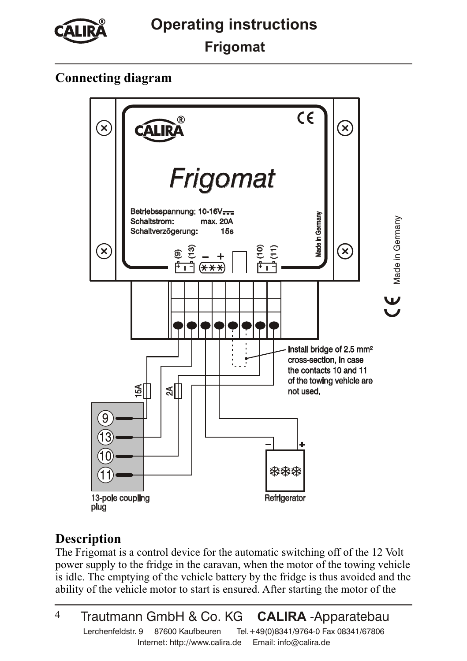

# **Connecting diagram**



# **Description**

The Frigomat is a control device for the automatic switching off of the 12 Volt power supply to the fridge in the caravan, when the motor of the towing vehicle is idle. The emptying of the vehicle battery by the fridge is thus avoided and the ability of the vehicle motor to start is ensured. After starting the motor of the

<sup>4</sup> Trautmann GmbH & Co. KG **CALIRA** -Apparatebau Lerchenfeldstr. 9 87600 Kaufbeuren Tel.+49(0)8341/9764-0 Fax 08341/67806 Internet: http://www.calira.de Email: info@calira.de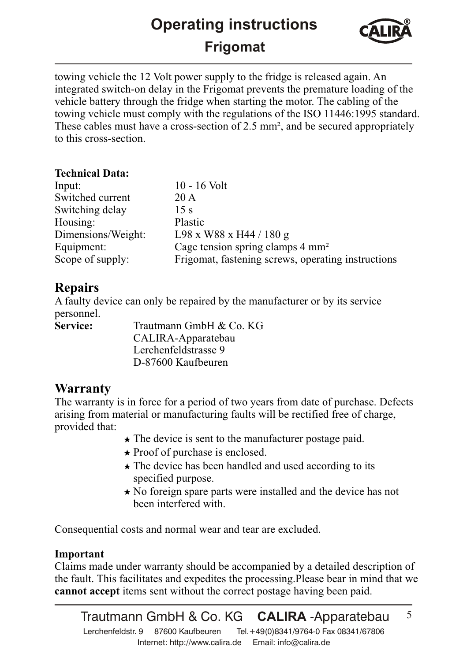# **Operating instructions Frigomat**



5

towing vehicle the 12 Volt power supply to the fridge is released again. An integrated switch-on delay in the Frigomat prevents the premature loading of the vehicle battery through the fridge when starting the motor. The cabling of the towing vehicle must comply with the regulations of the ISO 11446:1995 standard. These cables must have a cross-section of 2.5 mm², and be secured appropriately to this cross-section.

#### **Technical Data:**

| Input:             | $10 - 16$ Volt                                     |
|--------------------|----------------------------------------------------|
| Switched current   | 20 A                                               |
| Switching delay    | 15 s                                               |
| Housing:           | Plastic                                            |
| Dimensions/Weight: | $L98$ x W88 x H44 / 180 g                          |
| Equipment:         | Cage tension spring clamps 4 mm <sup>2</sup>       |
| Scope of supply:   | Frigomat, fastening screws, operating instructions |
|                    |                                                    |

## **Repairs**

**Service:** A faulty device can only be repaired by the manufacturer or by its service personnel.

Trautmann GmbH & Co. KG CALIRA-Apparatebau Lerchenfeldstrasse 9 D-87600 Kaufbeuren

## **Warranty**

The warranty is in force for a period of two years from date of purchase. Defects arising from material or manufacturing faults will be rectified free of charge, provided that:

- $\star$  The device is sent to the manufacturer postage paid.
- $\star$  Proof of purchase is enclosed.
- $\star$  The device has been handled and used according to its specified purpose.
- $\star$  No foreign spare parts were installed and the device has not been interfered with.

Consequential costs and normal wear and tear are excluded.

#### **Important**

**cannot accept** items sent without the correct postage having been paid. Claims made under warranty should be accompanied by a detailed description of the fault. This facilitates and expedites the processing.Please bear in mind that we

Trautmann GmbH & Co. KG **CALIRA** -Apparatebau

Lerchenfeldstr. 9 87600 Kaufbeuren Tel.+49(0)8341/9764-0 Fax 08341/67806 Internet: http://www.calira.de Email: info@calira.de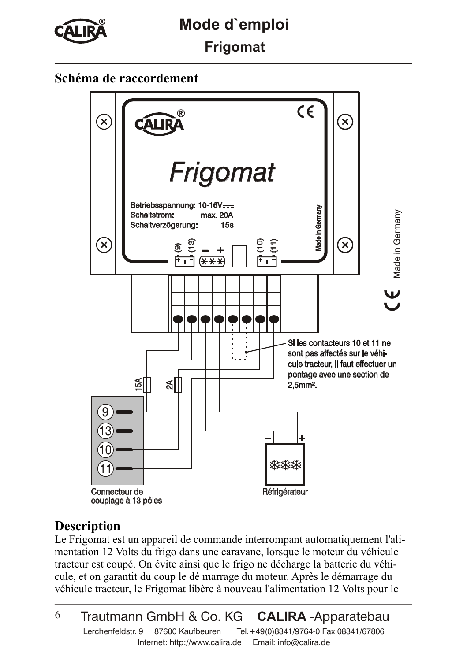

# **Mode d`emploi**

**Frigomat**

# **Schéma de raccordement**



## **Description**

Le Frigomat est un appareil de commande interrompant automatiquement l'alimentation 12 Volts du frigo dans une caravane, lorsque le moteur du véhicule tracteur est coupé. On évite ainsi que le frigo ne décharge la batterie du véhicule, et on garantit du coup le dé marrage du moteur. Après le démarrage du véhicule tracteur, le Frigomat libère à nouveau l'alimentation 12 Volts pour le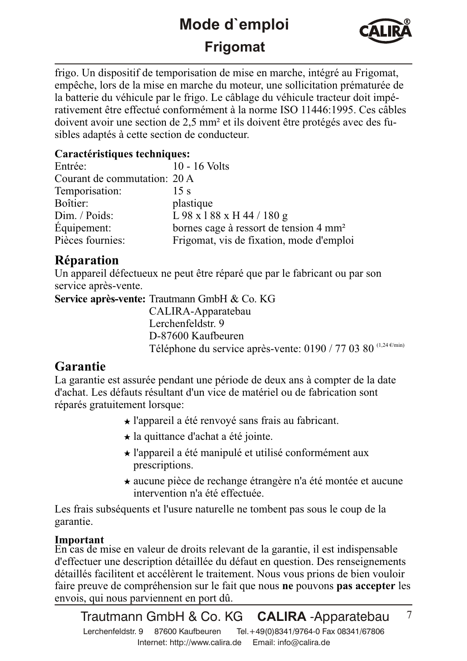# **Mode d`emploi Frigomat**



7

frigo. Un dispositif de temporisation de mise en marche, intégré au Frigomat, empêche, lors de la mise en marche du moteur, une sollicitation prématurée de la batterie du véhicule par le frigo. Le câblage du véhicule tracteur doit impérativement être effectué conformément à la norme ISO 11446:1995. Ces câbles doivent avoir une section de 2,5 mm² et ils doivent être protégés avec des fusibles adaptés à cette section de conducteur.

#### **Caractéristiques techniques:**

| Entrée:                      | $10 - 16$ Volts                                    |
|------------------------------|----------------------------------------------------|
| Courant de commutation: 20 A |                                                    |
| Temporisation:               | 15 s                                               |
| Boîtier:                     | plastique                                          |
| Dim. / Poids:                | L 98 x 1 88 x H 44 / 180 g                         |
| Équipement:                  | bornes cage à ressort de tension 4 mm <sup>2</sup> |
| Pièces fournies:             | Frigomat, vis de fixation, mode d'emploi           |

# **Réparation**

Un appareil défectueux ne peut être réparé que par le fabricant ou par son service après-vente.

**Service après-vente:** Trautmann GmbH & Co. KG

CALIRA-Apparatebau Lerchenfeldstr. 9 D-87600 Kaufbeuren Téléphone du service après-vente: 0190 / 77 03 80  $(1,24 \text{ e/cmin})$ 

# **Garantie**

La garantie est assurée pendant une période de deux ans à compter de la date d'achat. Les défauts résultant d'un vice de matériel ou de fabrication sont réparés gratuitement lorsque:

- l'appareil a été renvoyé sans frais au fabricant.
- $\star$  la quittance d'achat a été jointe.
- l'appareil a été manipulé et utilisé conformément aux prescriptions.
- aucune pièce de rechange étrangère n'a été montée et aucune intervention n'a été effectuée.

Les frais subséquents et l'usure naturelle ne tombent pas sous le coup de la garantie.

#### **Important**

faire preuve de compréhension sur le fait que nous ne pouvons pas accepter les En cas de mise en valeur de droits relevant de la garantie, il est indispensable d'effectuer une description détaillée du défaut en question. Des renseignements détaillés facilitent et accélèrent le traitement. Nous vous prions de bien vouloir envois, qui nous parviennent en port dû.

Trautmann GmbH & Co. KG **CALIRA** -Apparatebau